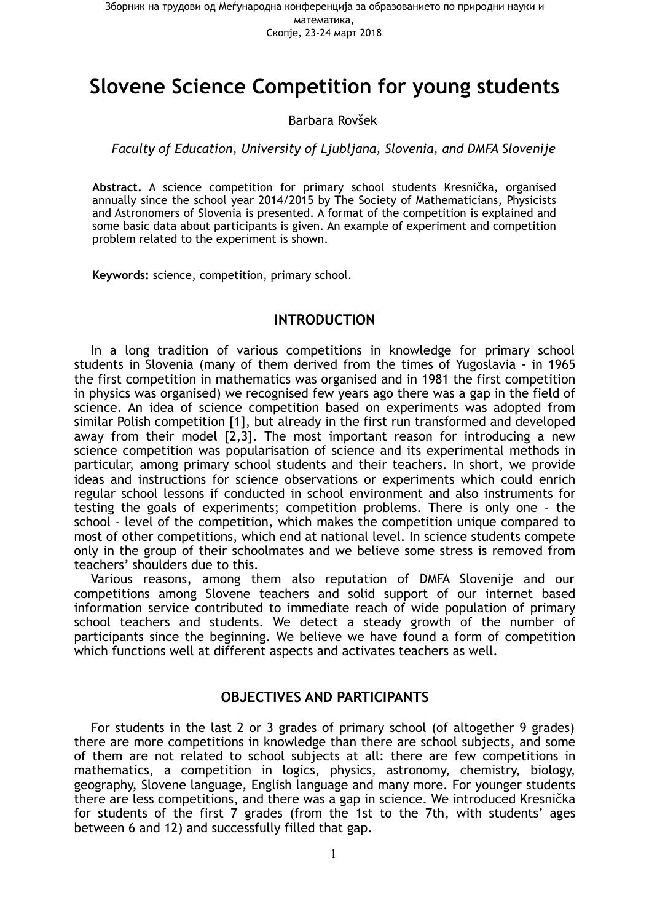# **Slovene Science Competition for young students**

#### Barbara Rovšek

#### *Faculty of Education, University of Ljubljana, Slovenia, and DMFA Slovenije*

**Abstract.** A science competition for primary school students Kresnička, organised annually since the school year 2014/2015 by The Society of Mathematicians, Physicists and Astronomers of Slovenia is presented. A format of the competition is explained and some basic data about participants is given. An example of experiment and competition problem related to the experiment is shown.

**Keywords:** science, competition, primary school.

#### **INTRODUCTION**

In a long tradition of various competitions in knowledge for primary school students in Slovenia (many of them derived from the times of Yugoslavia - in 1965 the first competition in mathematics was organised and in 1981 the first competition in physics was organised) we recognised few years ago there was a gap in the field of science. An idea of science competition based on experiments was adopted from similar Polish competition [1], but already in the first run transformed and developed away from their model  $\left[2,3\right]$ . The most important reason for introducing a new science competition was popularisation of science and its experimental methods in particular, among primary school students and their teachers. In short, we provide ideas and instructions for science observations or experiments which could enrich regular school lessons if conducted in school environment and also instruments for testing the goals of experiments; competition problems. There is only one - the school - level of the competition, which makes the competition unique compared to most of other competitions, which end at national level. In science students compete only in the group of their schoolmates and we believe some stress is removed from teachers' shoulders due to this.

Various reasons, among them also reputation of DMFA Slovenije and our competitions among Slovene teachers and solid support of our internet based information service contributed to immediate reach of wide population of primary school teachers and students. We detect a steady growth of the number of participants since the beginning. We believe we have found a form of competition which functions well at different aspects and activates teachers as well.

#### **OBJECTIVES AND PARTICIPANTS**

For students in the last 2 or 3 grades of primary school (of altogether 9 grades) there are more competitions in knowledge than there are school subjects, and some of them are not related to school subjects at all: there are few competitions in mathematics, a competition in logics, physics, astronomy, chemistry, biology, geography, Slovene language, English language and many more. For younger students there are less competitions, and there was a gap in science. We introduced Kresnička for students of the first 7 grades (from the 1st to the 7th, with students' ages between 6 and 12) and successfully filled that gap.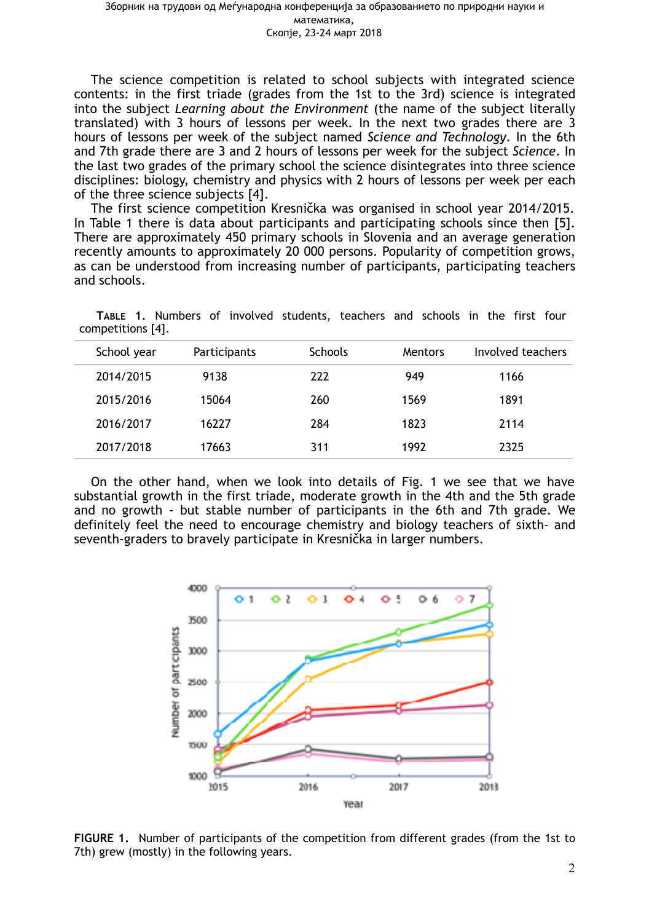The science competition is related to school subjects with integrated science contents: in the first triade (grades from the 1st to the 3rd) science is integrated into the subject *Learning about the Environment* (the name of the subject literally translated) with 3 hours of lessons per week. In the next two grades there are 3 hours of lessons per week of the subject named *Science and Technology*. In the 6th and 7th grade there are 3 and 2 hours of lessons per week for the subject *Science*. In the last two grades of the primary school the science disintegrates into three science disciplines: biology, chemistry and physics with 2 hours of lessons per week per each of the three science subjects [4].

The first science competition Kresnička was organised in school year 2014/2015. In Table 1 there is data about participants and participating schools since then [5]. There are approximately 450 primary schools in Slovenia and an average generation recently amounts to approximately 20 000 persons. Popularity of competition grows, as can be understood from increasing number of participants, participating teachers and schools.

**ТАBLE 1.** Numbers of involved students, teachers and schools in the first four competitions [4].

| School year | Participants | <b>Schools</b> | Mentors | Involved teachers |
|-------------|--------------|----------------|---------|-------------------|
| 2014/2015   | 9138         | 222            | 949     | 1166              |
| 2015/2016   | 15064        | 260            | 1569    | 1891              |
| 2016/2017   | 16227        | 284            | 1823    | 2114              |
| 2017/2018   | 17663        | 311            | 1992    | 2325              |

On the other hand, when we look into details of Fig. 1 we see that we have substantial growth in the first triade, moderate growth in the 4th and the 5th grade and no growth - but stable number of participants in the 6th and 7th grade. We definitely feel the need to encourage chemistry and biology teachers of sixth- and seventh-graders to bravely participate in Kresnička in larger numbers.



**FIGURE 1.** Number of participants of the competition from different grades (from the 1st to 7th) grew (mostly) in the following years.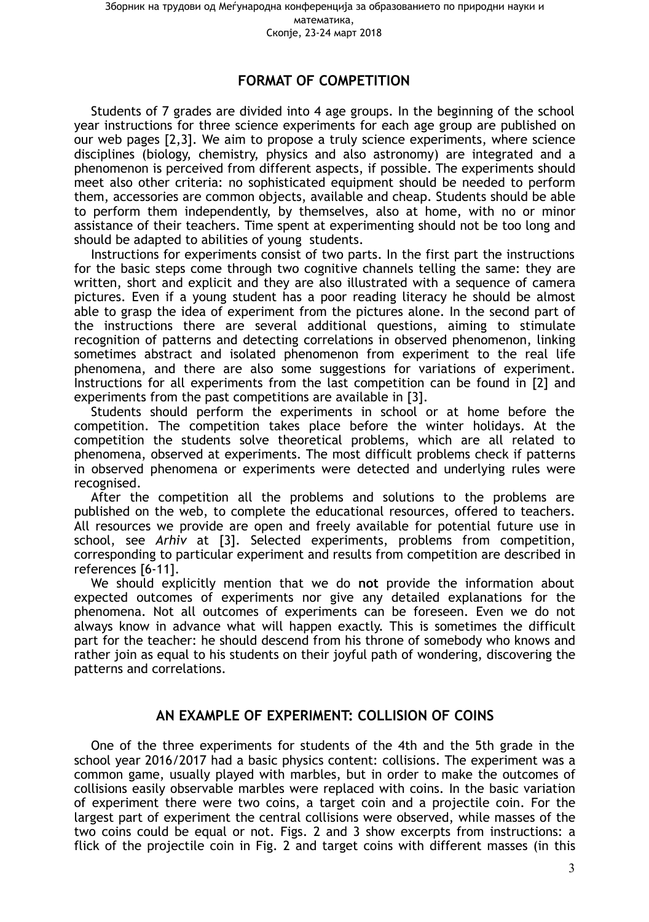## **FORMAT OF COMPETITION**

Students of 7 grades are divided into 4 age groups. In the beginning of the school year instructions for three science experiments for each age group are published on our web pages [2,3]. We aim to propose a truly science experiments, where science disciplines (biology, chemistry, physics and also astronomy) are integrated and a phenomenon is perceived from different aspects, if possible. The experiments should meet also other criteria: no sophisticated equipment should be needed to perform them, accessories are common objects, available and cheap. Students should be able to perform them independently, by themselves, also at home, with no or minor assistance of their teachers. Time spent at experimenting should not be too long and should be adapted to abilities of young students.

Instructions for experiments consist of two parts. In the first part the instructions for the basic steps come through two cognitive channels telling the same: they are written, short and explicit and they are also illustrated with a sequence of camera pictures. Even if a young student has a poor reading literacy he should be almost able to grasp the idea of experiment from the pictures alone. In the second part of the instructions there are several additional questions, aiming to stimulate recognition of patterns and detecting correlations in observed phenomenon, linking sometimes abstract and isolated phenomenon from experiment to the real life phenomena, and there are also some suggestions for variations of experiment. Instructions for all experiments from the last competition can be found in [2] and experiments from the past competitions are available in [3].

Students should perform the experiments in school or at home before the competition. The competition takes place before the winter holidays. At the competition the students solve theoretical problems, which are all related to phenomena, observed at experiments. The most difficult problems check if patterns in observed phenomena or experiments were detected and underlying rules were recognised.

After the competition all the problems and solutions to the problems are published on the web, to complete the educational resources, offered to teachers. All resources we provide are open and freely available for potential future use in school, see *Arhiv* at [3]. Selected experiments, problems from competition, corresponding to particular experiment and results from competition are described in references [6-11].

We should explicitly mention that we do **not** provide the information about expected outcomes of experiments nor give any detailed explanations for the phenomena. Not all outcomes of experiments can be foreseen. Even we do not always know in advance what will happen exactly. This is sometimes the difficult part for the teacher: he should descend from his throne of somebody who knows and rather join as equal to his students on their joyful path of wondering, discovering the patterns and correlations.

#### **AN EXAMPLE OF EXPERIMENT: COLLISION OF COINS**

One of the three experiments for students of the 4th and the 5th grade in the school year 2016/2017 had a basic physics content: collisions. The experiment was a common game, usually played with marbles, but in order to make the outcomes of collisions easily observable marbles were replaced with coins. In the basic variation of experiment there were two coins, a target coin and a projectile coin. For the largest part of experiment the central collisions were observed, while masses of the two coins could be equal or not. Figs. 2 and 3 show excerpts from instructions: a flick of the projectile coin in Fig. 2 and target coins with different masses (in this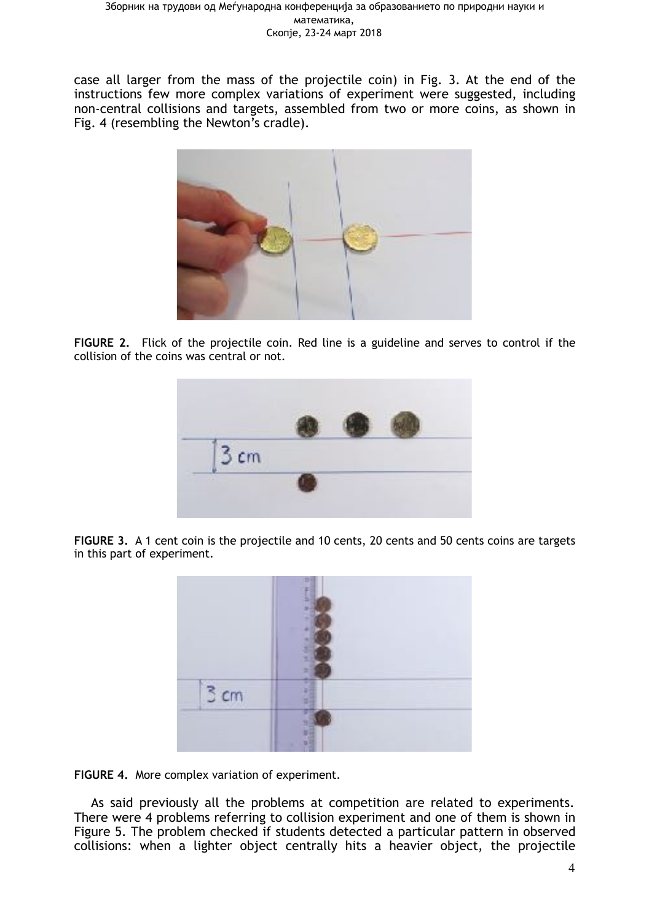case all larger from the mass of the projectile coin) in Fig. 3. At the end of the instructions few more complex variations of experiment were suggested, including non-central collisions and targets, assembled from two or more coins, as shown in Fig. 4 (resembling the Newton's cradle).



**FIGURE 2.** Flick of the projectile coin. Red line is a guideline and serves to control if the collision of the coins was central or not.



FIGURE 3. A 1 cent coin is the projectile and 10 cents, 20 cents and 50 cents coins are targets in this part of experiment.



**FIGURE 4.** More complex variation of experiment.

As said previously all the problems at competition are related to experiments. There were 4 problems referring to collision experiment and one of them is shown in Figure 5. The problem checked if students detected a particular pattern in observed collisions: when a lighter object centrally hits a heavier object, the projectile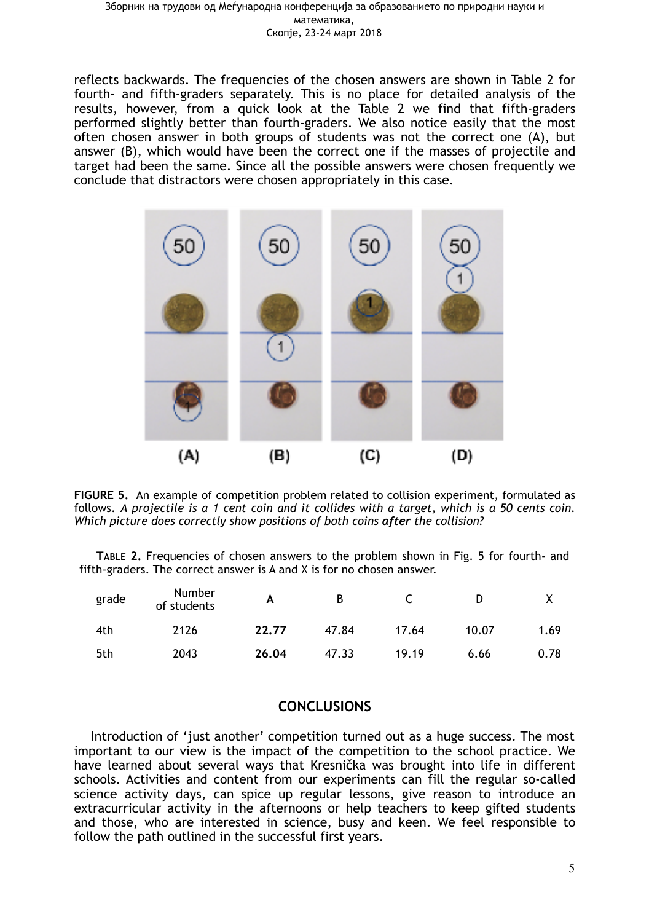#### Зборник на трудови од Меѓународна конференција за образованието по природни науки и математика, Скопје, 23-24 март 2018

reflects backwards. The frequencies of the chosen answers are shown in Table 2 for fourth- and fifth-graders separately. This is no place for detailed analysis of the results, however, from a quick look at the Table 2 we find that fifth-graders performed slightly better than fourth-graders. We also notice easily that the most often chosen answer in both groups of students was not the correct one (A), but answer (B), which would have been the correct one if the masses of projectile and target had been the same. Since all the possible answers were chosen frequently we conclude that distractors were chosen appropriately in this case.



**FIGURE 5.** An example of competition problem related to collision experiment, formulated as follows. *A projectile is a 1 cent coin and it collides with a target, which is a 50 cents coin. Which picture does correctly show positions of both coins after the collision?*

| TABLE 2. Frequencies of chosen answers to the problem shown in Fig. 5 for fourth- and |  |  |  |  |  |
|---------------------------------------------------------------------------------------|--|--|--|--|--|
| fifth-graders. The correct answer is A and X is for no chosen answer.                 |  |  |  |  |  |

| grade | <b>Number</b><br>of students | А     | B     | ∽     | D     |      |
|-------|------------------------------|-------|-------|-------|-------|------|
| 4th   | 2126                         | 22.77 | 47.84 | 17.64 | 10.07 | 1.69 |
| 5th   | 2043                         | 26.04 | 47.33 | 19.19 | 6.66  | 0.78 |

#### **CONCLUSIONS**

Introduction of 'just another' competition turned out as a huge success. The most important to our view is the impact of the competition to the school practice. We have learned about several ways that Kresnička was brought into life in different schools. Activities and content from our experiments can fill the regular so-called science activity days, can spice up regular lessons, give reason to introduce an extracurricular activity in the afternoons or help teachers to keep gifted students and those, who are interested in science, busy and keen. We feel responsible to follow the path outlined in the successful first years.